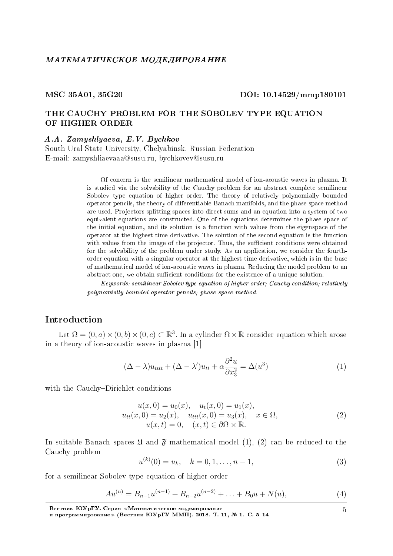# MSC 35A01, 35G20 DOI: 10.14529/mmp180101

# THE CAUCHY PROBLEM FOR THE SOBOLEV TYPE EQUATION OF HIGHER ORDER

A.A. Zamyshlyaeva, E.V. Bychkov

South Ural State University, Chelyabinsk, Russian Federation E-mail: zamyshliaevaaa@susu.ru, bychkovev@susu.ru

> Of concern is the semilinear mathematical model of ion-acoustic waves in plasma. It is studied via the solvability of the Cauchy problem for an abstract complete semilinear Sobolev type equation of higher order. The theory of relatively polynomially bounded operator pencils, the theory of differentiable Banach manifolds, and the phase space method are used. Projectors splitting spaces into direct sums and an equation into a system of two equivalent equations are constructed. One of the equations determines the phase space of the initial equation, and its solution is a function with values from the eigenspace of the operator at the highest time derivative. The solution of the second equation is the function with values from the image of the projector. Thus, the sufficient conditions were obtained for the solvability of the problem under study. As an application, we consider the fourthorder equation with a singular operator at the highest time derivative, which is in the base of mathematical model of ion-acoustic waves in plasma. Reducing the model problem to an abstract one, we obtain sufficient conditions for the existence of a unique solution.

> Keywords: semilinear Sobolev type equation of higher order; Cauchy condition; relatively polynomially bounded operator pencils; phase space method.

# Introduction

Let  $\Omega = (0, a) \times (0, b) \times (0, c) \subset \mathbb{R}^3$ . In a cylinder  $\Omega \times \mathbb{R}$  consider equation which arose in a theory of ion-acoustic waves in plasma [1]

$$
(\Delta - \lambda)u_{tttt} + (\Delta - \lambda')u_{tt} + \alpha \frac{\partial^2 u}{\partial x_3^2} = \Delta(u^3)
$$
 (1)

with the Cauchy-Dirichlet conditions

$$
u(x,0) = u_0(x), \quad u_t(x,0) = u_1(x),
$$
  
\n
$$
u_{tt}(x,0) = u_2(x), \quad u_{ttt}(x,0) = u_3(x), \quad x \in \Omega,
$$
  
\n
$$
u(x,t) = 0, \quad (x,t) \in \partial\Omega \times \mathbb{R}.
$$
\n(2)

In suitable Banach spaces  $\mathfrak U$  and  $\mathfrak F$  mathematical model (1), (2) can be reduced to the Cauchy problem

$$
u^{(k)}(0) = u_k, \quad k = 0, 1, \dots, n - 1,
$$
\n(3)

for a semilinear Sobolev type equation of higher order

$$
Au^{(n)} = B_{n-1}u^{(n-1)} + B_{n-2}u^{(n-2)} + \ldots + B_0u + N(u), \tag{4}
$$

Вестник ЮУрГУ. Серия «Математическое моделирование

5

и программирование≫ (Вестник ЮУрГУ ММП). 2018. T. 11, № 1. C. 5-14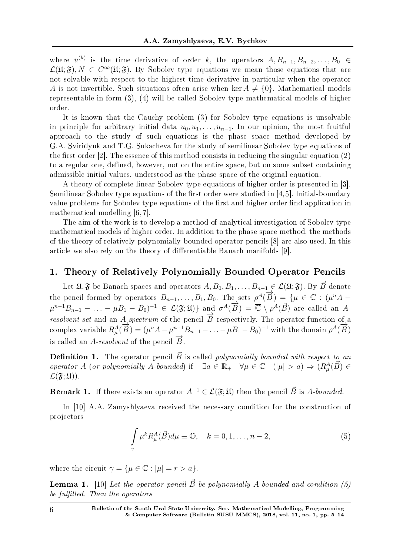where  $u^{(k)}$  is the time derivative of order *k*, the operators  $A, B_{n-1}, B_{n-2}, \ldots, B_0 \in$  $\mathcal{L}(\mathfrak{U}; \mathfrak{F}), N \in C^{\infty}(\mathfrak{U}; \mathfrak{F})$ . By Sobolev type equations we mean those equations that are not solvable with respect to the highest time derivative in particular when the operator *A* is not invertible. Such situations often arise when ker  $A \neq \{0\}$ . Mathematical models representable in form (3), (4) will be called Sobolev type mathematical models of higher order.

It is known that the Cauchy problem (3) for Sobolev type equations is unsolvable in principle for arbitrary initial data  $u_0, u_1, \ldots, u_{n-1}$ . In our opinion, the most fruitful approach to the study of such equations is the phase space method developed by G.A. Sviridyuk and T.G. Sukacheva for the study of semilinear Sobolev type equations of the first order  $[2]$ . The essence of this method consists in reducing the singular equation  $(2)$ to a regular one, defined, however, not on the entire space, but on some subset containing admissible initial values, understood as the phase space of the original equation.

A theory of complete linear Sobolev type equations of higher order is presented in [3]. Semilinear Sobolev type equations of the first order were studied in  $[4,5]$ . Initial-boundary value problems for Sobolev type equations of the first and higher order find application in mathematical modelling [6, 7].

The aim of the work is to develop a method of analytical investigation of Sobolev type mathematical models of higher order. In addition to the phase space method, the methods of the theory of relatively polynomially bounded operator pencils [8] are also used. In this article we also rely on the theory of differentiable Banach manifolds [9].

## 1. Theory of Relatively Polynomially Bounded Operator Pencils

Let  $\mathfrak{U}, \mathfrak{F}$  be Banach spaces and operators  $A, B_0, B_1, \ldots, B_{n-1} \in \mathcal{L}(\mathfrak{U}; \mathfrak{F})$ . By  $\vec{B}$  denote the pencil formed by operators  $B_{n-1}, \ldots, B_1, B_0$ . The sets  $\rho^A(\overrightarrow{B}) = \{ \mu \in \mathbb{C} : (\mu^n A - \mu)^n \}$  $\mu^{n-1}B_{n-1} - \ldots - \mu B_1 - B_0$ <sup>-1</sup>  $\in \mathcal{L}(\mathfrak{F};\mathfrak{U})$  and  $\sigma^A(\overrightarrow{B}) = \overline{\mathbb{C}} \setminus \rho^A(\overrightarrow{B})$  are called an Aresolvent set and an *A*-spectrum of the pencil  $\overrightarrow{B}$  respectively. The operator-function of a complex variable  $R^A_\mu(\vec{B}) = (\mu^n A - \mu^{n-1} B_{n-1} - \ldots - \mu B_1 - B_0)^{-1}$  with the domain  $\rho^A(\vec{B})$ is called an *A-resolvent* of the pencil  $\vec{B}$ .

**Definition 1.** The operator pencil  $\vec{B}$  is called polynomially bounded with respect to an operator *A* (or polynomially *A*-bounded) if  $\exists a \in \mathbb{R}_+$   $\forall \mu \in \mathbb{C}$   $(|\mu| > a) \Rightarrow (R^A_\mu(\vec{B}) \in$  $\mathcal{L}(\mathfrak{F};\mathfrak{U})$ .

**Remark 1.** If there exists an operator  $A^{-1} \in \mathcal{L}(\mathfrak{F}; \mathfrak{U})$  then the pencil  $\vec{B}$  is *A*-bounded.

In [10] A.A. Zamyshlyaeva received the necessary condition for the construction of projectors

$$
\int_{\gamma} \mu^k R^A_{\mu}(\vec{B}) d\mu \equiv \mathbb{O}, \quad k = 0, 1, \dots, n-2,
$$
\n(5)

where the circuit  $\gamma = {\mu \in \mathbb{C} : |\mu| = r > a}.$ 

**Lemma 1.** [10] Let the operator pencil  $\vec{B}$  be polynomially A-bounded and condition (5) be fulfilled. Then the operators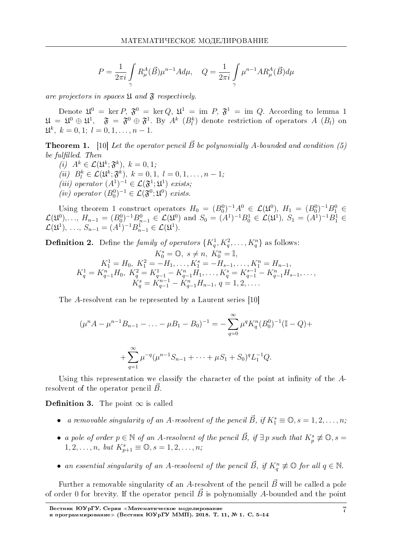$$
P = \frac{1}{2\pi i} \int\limits_{\gamma} R^A_{\mu}(\vec{B}) \mu^{n-1} A d\mu, \quad Q = \frac{1}{2\pi i} \int\limits_{\gamma} \mu^{n-1} A R^A_{\mu}(\vec{B}) d\mu
$$

are projectors in spaces  $\mathfrak U$  and  $\mathfrak F$  respectively.

Denote  $\mathfrak{U}^0 = \text{ker } P, \ \mathfrak{F}^0 = \text{ker } Q, \ \mathfrak{U}^1 = \text{im } P, \ \mathfrak{F}^1 = \text{im } Q.$  According to lemma 1  $\mathfrak{U}\,=\,\mathfrak{U}^0\,\oplus\,\mathfrak{U}^1,\quad \mathfrak{F}\,=\,\mathfrak{F}^0\,\oplus\,\mathfrak{F}^1.$  By  $A^k$   $(B^k_l)$  denote restriction of operators  $A$   $(B_l)$  on  $\mathfrak{U}^k$ ,  $k = 0, 1; l = 0, 1, \ldots, n - 1.$ 

**Theorem 1.** [10] Let the operator pencil  $\vec{B}$  be polynomially *A*-bounded and condition (5) be fulfilled. Then

 $(i)$   $A^k \in \mathcal{L}(\mathfrak{U}^k; \mathfrak{F}^k), k = 0, 1;$  $(iii)$   $B_l^k \in \mathcal{L}(\mathfrak{U}^k; \mathfrak{F}^k), k = 0, 1, l = 0, 1, \ldots, n - 1;$ (iii) operator  $(A^1)^{-1} \in \mathcal{L}(\mathfrak{F}^1;\mathfrak{U}^1)$  exists; (iv) operator  $(B_0^0)^{-1} \in \mathcal{L}(\mathfrak{F}^0;\mathfrak{U}^0)$  exists.

Using theorem 1 construct operators  $H_0 = (B_0^0)^{-1}A^0 \in \mathcal{L}(\mathfrak{U}^0), H_1 = (B_0^0)^{-1}B_1^0 \in$  $\mathcal{L}(\mathfrak{U}^0), \ldots, H_{n-1} = (B_0^0)^{-1} B_{n-1}^0 \in \mathcal{L}(\mathfrak{U}^0)$  and  $S_0 = (A^1)^{-1} B_0^1 \in \mathcal{L}(\mathfrak{U}^1), S_1 = (A^1)^{-1} B_1^1 \in \mathcal{L}(\mathfrak{U}^1)$  $\mathcal{L}(\mathfrak{U}^1), \ldots, S_{n-1} = (A^1)^{-1} B_{n-1}^1 \in \mathcal{L}(\mathfrak{U}^1).$ 

**Definition 2.** Define the family of operators  $\{K_q^1, K_q^2, \ldots, K_q^n\}$  as follows:

$$
K_0^s = \mathbb{O}, \ s \neq n, \ K_0^n = \mathbb{I},
$$
  
\n
$$
K_1^1 = H_0, \ K_1^2 = -H_1, \dots, K_1^s = -H_{s-1}, \dots, K_1^n = H_{n-1},
$$
  
\n
$$
K_q^1 = K_{q-1}^n H_0, \ K_q^2 = K_{q-1}^1 - K_{q-1}^n H_1, \dots, K_q^s = K_{q-1}^{s-1} - K_{q-1}^n H_{s-1}, \dots,
$$
  
\n
$$
K_q^s = K_{q-1}^{n-1} - K_{q-1}^n H_{n-1}, \ q = 1, 2, \dots.
$$

The *A*-resolvent can be represented by a Laurent series [10]

$$
(\mu^n A - \mu^{n-1} B_{n-1} - \dots - \mu B_1 - B_0)^{-1} = -\sum_{q=0}^{\infty} \mu^q K_q^n (B_0^0)^{-1} (\mathbb{I} - Q) +
$$
  
+ 
$$
\sum_{q=1}^{\infty} \mu^{-q} (\mu^{n-1} S_{n-1} + \dots + \mu S_1 + S_0)^q L_1^{-1} Q.
$$

Using this representation we classify the character of the point at infinity of the Aresolvent of the operator pencil  $\vec{B}$ .

**Definition 3.** The point  $\infty$  is called

- a removable singularity of an *A*-resolvent of the pencil  $\vec{B}$ , if  $K_1^s \equiv \mathbb{O}, s = 1, 2, \ldots, n$ ;
- a pole of order  $p \in \mathbb{N}$  of an *A*-resolvent of the pencil  $\vec{B}$ , if  $\exists p$  such that  $K_p^s \not\equiv \mathbb{O}$ ,  $s =$  $1, 2, \ldots, n, \text{ but } K^s_{p+1} \equiv \mathbb{O}, s = 1, 2, \ldots, n;$
- an essential singularity of an *A*-resolvent of the pencil  $\vec{B}$ , if  $K_q^n \neq \mathbb{O}$  for all  $q \in \mathbb{N}$ .

Further a removable singularity of an *A*-resolvent of the pencil  $\vec{B}$  will be called a pole of order 0 for brevity. If the operator pencil  $\vec{B}$  is polynomially A-bounded and the point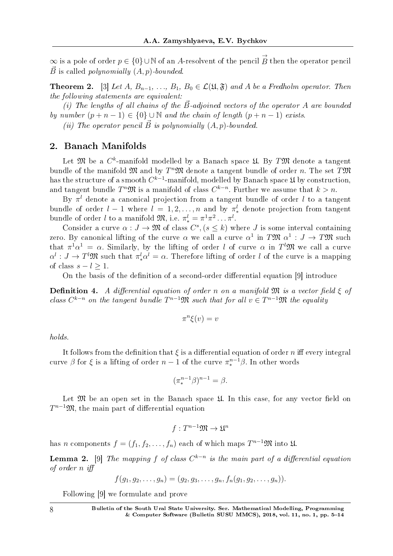$\infty$  is a pole of order  $p \in \{0\} \cup \mathbb{N}$  of an *A*-resolvent of the pencil  $\overrightarrow{B}$  then the operator pencil  $\vec{B}$  is called *polynomially*  $(A, p)$ -bounded.

**Theorem 2.** [3] Let *A*,  $B_{n-1}, \ldots, B_1, B_0 \in \mathcal{L}(\mathfrak{U}, \mathfrak{F})$  and *A* be a Fredholm operator. Then the following statements are equivalent:

(i) The lengths of all chains of the  $\vec{B}$ -adjoined vectors of the operator A are bounded by number  $(p + n - 1) \in \{0\} \cup \mathbb{N}$  and the chain of length  $(p + n - 1)$  exists.

(*ii*) The operator pencil  $\vec{B}$  is polynomially  $(A, p)$ -bounded.

# 2. Banach Manifolds

Let  ${\mathfrak M}$  be a  $C^k$ -manifold modelled by a Banach space  ${\mathfrak U}$ . By  $T{\mathfrak M}$  denote a tangent bundle of the manifold  $\mathfrak{M}$  and by  $T^n\mathfrak{M}$  denote a tangent bundle of order  $n$ . The set  $T\mathfrak{M}$ has the structure of a smooth  $C^{k-1}$ -manifold, modelled by Banach space  $\mathfrak U$  by construction, and tangent bundle  $T^n\mathfrak{M}$  is a manifold of class  $C^{k-n}$ . Further we assume that  $k > n$ .

By *π <sup>l</sup>* denote a canonical projection from a tangent bundle of order *l* to a tangent bundle of order  $l-1$  where  $l = 1, 2, \ldots, n$  and by  $\pi^l_*$  denote projection from tangent bundle of order *l* to a manifold  $\mathfrak{M}$ , i.e.  $\pi^l_* = \pi^1 \pi^2 \dots \pi^l$ .

Consider a curve  $\alpha: J \to \mathfrak{M}$  of class  $C^s$ ,  $(s \leq k)$  where *J* is some interval containing zero. By canonical lifting of the curve  $\alpha$  we call a curve  $\alpha^1$  in  $T\mathfrak{M}$   $\alpha^1: J \to T\mathfrak{M}$  such that  $\pi^1 \alpha^1 = \alpha$ . Similarly, by the lifting of order *l* of curve  $\alpha$  in  $T^l \mathfrak{M}$  we call a curve  $\alpha^l : J \to T^l \mathfrak{M}$  such that  $\pi^l_* \alpha^l = \alpha$ . Therefore lifting of order *l* of the curve is a mapping of class  $s - l \geq 1$ .

On the basis of the definition of a second-order differential equation [9] introduce

**Definition 4.** A differential equation of order *n* on a manifold  $\mathfrak{M}$  is a vector field  $\xi$  of *class*  $C^{k-n}$  on the tangent bundle  $T^{n-1}\mathfrak{M}$  such that for all  $v \in T^{n-1}\mathfrak{M}$  the equality

$$
\pi^n \xi(v) = v
$$

holds.

It follows from the definition that  $\xi$  is a differential equation of order *n* iff every integral curve  $\beta$  for  $\xi$  is a lifting of order  $n-1$  of the curve  $\pi^{n-1}_{*}\beta$ . In other words

$$
(\pi^{n-1}_{*}\beta)^{n-1} = \beta.
$$

Let  $\mathfrak M$  be an open set in the Banach space  $\mathfrak U$ . In this case, for any vector field on *T*<sup>*n*−1</sup>M, the main part of differential equation

$$
f:T^{n-1}\mathfrak{M}\to\mathfrak{U}^n
$$

has *n* components  $f = (f_1, f_2, \ldots, f_n)$  each of which maps  $T^{n-1}\mathfrak{M}$  into  $\mathfrak{U}$ .

**Lemma 2.** [9] The mapping f of class  $C^{k-n}$  is the main part of a differential equation of order *n* i

$$
f(g_1, g_2, \ldots, g_n) = (g_2, g_3, \ldots, g_n, f_n(g_1, g_2, \ldots, g_n)).
$$

Following [9] we formulate and prove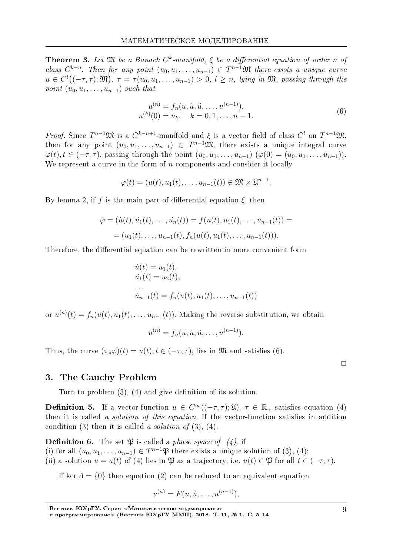**Theorem 3.** Let  $\mathfrak{M}$  be a Banach  $C^k$ -manifold,  $\xi$  be a differential equation of order *n* of class  $C^{k-n}$ . Then for any point  $(u_0, u_1, \ldots, u_{n-1}) \in T^{n-1}\mathfrak{M}$  there exists a unique curve  $u \in C^l((-\tau, \tau); \mathfrak{M})$ ,  $\tau = \tau(u_0, u_1, \ldots, u_{n-1}) > 0$ ,  $l \geq n$ , lying in  $\mathfrak{M}$ , passing through the point  $(u_0, u_1, \ldots, u_{n-1})$  such that

$$
u^{(n)} = f_n(u, \dot{u}, \ddot{u}, \dots, u^{(n-1)}),
$$
  
\n
$$
u^{(k)}(0) = u_k, \quad k = 0, 1, \dots, n-1.
$$
\n(6)

*Proof.* Since  $T^{n-1}\mathfrak{M}$  is a  $C^{k-n+1}$ -manifold and  $\xi$  is a vector field of class  $C^l$  on  $T^{n-1}\mathfrak{M}$ , then for any point  $(u_0, u_1, \ldots, u_{n-1}) \in T^{n-1}\mathfrak{M}$ , there exists a unique integral curve *φ*(*t*), *t* ∈ (−*τ*, *τ*), passing through the point  $(u_0, u_1, \ldots, u_{n-1})$  ( $φ(0) = (u_0, u_1, \ldots, u_{n-1})$ ). We represent a curve in the form of *n* components and consider it locally

$$
\varphi(t)=(u(t),u_1(t),\ldots,u_{n-1}(t))\in\mathfrak{M}\times\mathfrak{U}^{n-1}.
$$

By lemma 2, if *f* is the main part of differential equation *ξ*, then

$$
\dot{\varphi} = (\dot{u}(t), \dot{u}_1(t), \dots, \dot{u}_n(t)) = f(u(t), u_1(t), \dots, u_{n-1}(t)) =
$$
  
=  $(u_1(t), \dots, u_{n-1}(t), f_n(u(t), u_1(t), \dots, u_{n-1}(t))).$ 

Therefore, the differential equation can be rewritten in more convenient form

$$
\dot{u}(t) = u_1(t), \n\dot{u}_1(t) = u_2(t), \n\cdots \n\dot{u}_{n-1}(t) = f_n(u(t), u_1(t), \dots, u_{n-1}(t))
$$

or  $u^{(n)}(t) = f_n(u(t), u_1(t), \ldots, u_{n-1}(t))$ . Making the reverse substitution, we obtain

$$
u^{(n)} = f_n(u, \dot{u}, \ddot{u}, \dots, u^{(n-1)}).
$$

Thus, the curve  $(\pi_* \varphi)(t) = u(t), t \in (-\tau, \tau)$ , lies in M and satisfies (6).

 $\Box$ 

#### 3. The Cauchy Problem

Turn to problem  $(3)$ ,  $(4)$  and give definition of its solution.

**Definition 5.** If a vector-function  $u \in C^{\infty}((-\tau,\tau);\mathfrak{U}), \tau \in \mathbb{R}_+$  satisfies equation (4) then it is called a *solution of this equation*. If the vector-function satisfies in addition condition (3) then it is called a solution of  $(3)$ ,  $(4)$ .

**Definition 6.** The set  $\mathfrak{P}$  is called a *phase space of* (4), if

(i) for all  $(u_0, u_1, \ldots, u_{n-1}) \in T^{n-1}\mathfrak{P}$  there exists a unique solution of (3), (4);

(ii) a solution  $u = u(t)$  of (4) lies in  $\mathfrak{P}$  as a trajectory, i.e.  $u(t) \in \mathfrak{P}$  for all  $t \in (-\tau, \tau)$ .

If ker  $A = \{0\}$  then equation (2) can be reduced to an equivalent equation

$$
u^{(n)} = F(u, \dot{u}, \dots, u^{(n-1)}),
$$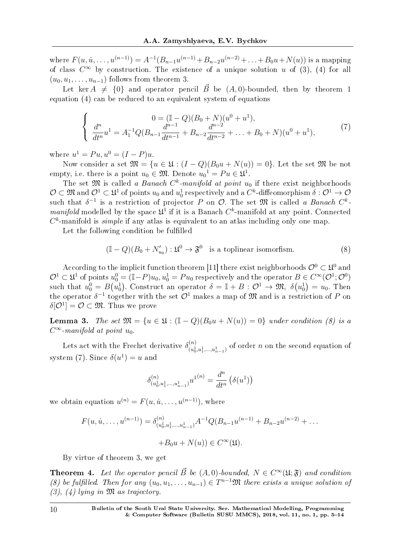where  $F(u, \dot{u}, \dots, u^{(n-1)}) = A^{-1}(B_{n-1}u^{(n-1)} + B_{n-2}u^{(n-2)} + \dots + B_0u + N(u))$  is a mapping of class  $C^{\infty}$  by construction. The existence of a unique solution *u* of (3), (4) for all  $(u_0, u_1, \ldots, u_{n-1})$  follows from theorem 3.

Let ker  $A \neq \{0\}$  and operator pencil *B* be  $(A, 0)$ -bounded, then by theorem 1 equation (4) can be reduced to an equivalent system of equations

$$
\begin{cases}\n0 = (\mathbb{I} - Q)(B_0 + N)(u^0 + u^1), \\
\frac{d^n}{dt^n} u^1 = A_1^{-1} Q(B_{n-1} \frac{d^{n-1}}{dt^{n-1}} + B_{n-2} \frac{d^{n-2}}{dt^{n-2}} + \dots + B_0 + N)(u^0 + u^1),\n\end{cases} (7)
$$

where  $u^1 = Pu, u^0 = (I - P)u$ .

Now consider a set  $\mathfrak{M} = \{u \in \mathfrak{U} : (I - Q)(B_0u + N(u)) = 0\}$ . Let the set  $\mathfrak{M}$  be not empty, i.e. there is a point  $u_0 \in \mathfrak{M}$ . Denote  $u_0^1 = Pu \in \mathfrak{U}^1$ .

The set  $\mathfrak{M}$  is called a *Banach*  $C^k$ -manifold at point  $u_0$  if there exist neighborhoods  $\mathcal{O}\subset\mathfrak{M}$  and  $\mathcal{O}^1\subset\mathfrak{U}^1$  of points  $u_0$  and  $u_0^1$  respectively and a  $C^k$ -diffeomorphism  $\delta:\mathcal{O}^1\to\mathcal{O}$ such that  $\delta^{-1}$  is a restriction of projector *P* on *O*. The set  $\mathfrak{M}$  is called a Banach  $C^k$ manifold modelled by the space  $\mathfrak{U}^1$  if it is a Banach  $C^k$ -manifold at any point. Connected  $C^k$ -manifold is *simple* if any atlas is equivalent to an atlas including only one map.

Let the following condition be fullled

$$
(\mathbb{I} - Q)(B_0 + N'_{u_0}) : \mathfrak{U}^0 \to \mathfrak{F}^0 \text{ is a toplinear isomorfism.}
$$
 (8)

According to the implicit function theorem [11] there exist neighborhoods  $\mathcal{O}^0 \subset \mathfrak{U}^0$  and  $\mathcal{O}^1\subset\mathfrak{U}^1$  of points  $u_0^0=(\mathbb{I}-P)u_0, u_0^1=Pu_0$  respectively and the operator  $B\in C^\infty(\mathcal{O}^1;\mathcal{O}^0)$ such that  $u_0^0 = B(u_0^1)$ . Construct an operator  $\delta = \mathbb{I} + B: \mathcal{O}^1 \to \mathfrak{M}, \ \delta(u_0^1) = u_0$ . Then the operator  $\delta^{-1}$  together with the set  $\mathcal{O}^1$  makes a map of  $\mathfrak M$  and is a restriction of *P* on  $\delta[\mathcal{O}^1]=\mathcal{O}\subset \mathfrak{M}.$  Thus we prove

**Lemma 3.** The set  $\mathfrak{M} = \{u \in \mathfrak{U} : (\mathbb{I} - Q)(B_0u + N(u)) = 0\}$  under condition (8) is a  $C^{\infty}$ -manifold at point  $u_0$ .

Lets act with the Frechet derivative  $\delta_{(n)}^{(n)}$  $\binom{n}{(u_0^1, u_1^1, \ldots, u_{n-1}^1)}$  of order *n* on the second equation of system (7). Since  $\delta(u^1) = u$  and

$$
\delta_{(u_0^1, u_1^1, \dots, u_{n-1}^1)}^{(n)} u^{1(n)} = \frac{d^n}{dt^n} (\delta(u^1))
$$

we obtain equation  $u^{(n)} = F(u, \dot{u}, \dots, u^{(n-1)})$ , where

$$
F(u, \dot{u}, \dots, u^{(n-1)}) = \delta_{(u_0^1, u_1^1, \dots, u_{n-1}^1)}^{(n)} A^{-1} Q(B_{n-1} u^{(n-1)} + B_{n-2} u^{(n-2)} + \dots
$$
  
+
$$
B_0 u + N(u) \in C^\infty(\mathfrak{U}).
$$

By virtue of theorem 3, we get

**Theorem 4.** Let the operator pencil  $\vec{B}$  be  $(A, 0)$ -bounded,  $N \in C^{\infty}(\mathfrak{U}; \mathfrak{F})$  and condition (8) be fulfilled. Then for any  $(u_0, u_1, \ldots, u_{n-1}) \in T^{n-1}\mathfrak{M}$  there exists a unique solution of  $(3)$ ,  $(4)$  lying in  $\mathfrak{M}$  as trajectory.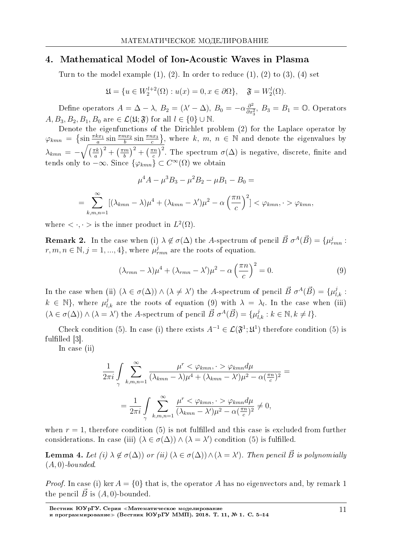### 4. Mathematical Model of Ion-Acoustic Waves in Plasma

Turn to the model example  $(1)$ ,  $(2)$ . In order to reduce  $(1)$ ,  $(2)$  to  $(3)$ ,  $(4)$  set

$$
\mathfrak{U} = \{ u \in W_2^{l+2}(\Omega) : u(x) = 0, x \in \partial\Omega \}, \quad \mathfrak{F} = W_2^l(\Omega).
$$

Define operators  $A = \Delta - \lambda$ ,  $B_2 = (\lambda' - \Delta)$ ,  $B_0 = -\alpha \frac{\partial^2}{\partial x^2}$  $\frac{\partial^2}{\partial x_3^2}$ ,  $B_3 = B_1 = \mathbb{O}$ . Operators  $A, B_3, B_2, B_1, B_0$  are  $\in \mathcal{L}(\mathfrak{U}; \mathfrak{F})$  for all  $l \in \{0\} \cup \mathbb{N}$ .

Denote the eigenfunctions of the Dirichlet problem (2) for the Laplace operator by  $\varphi_{kmn} = \left\{ \sin \frac{\pi k x_1}{a} \sin \frac{\pi m x_2}{b} \sin \frac{\pi n x_3}{c} \right\}$ , where *k*, *m*, *n*  $\in \mathbb{N}$  and denote the eigenvalues by  $\lambda_{kmn} = -\sqrt{\frac{\pi k}{a}}$  $\left(\frac{\pi k}{a}\right)^2 + \left(\frac{\pi m}{b}\right)$  $\left(\frac{m}{b}\right)^2+\left(\frac{\pi n}{c}\right)$  $\left(\frac{m}{c}\right)^2$ . The spectrum  $\sigma(\Delta)$  is negative, discrete, finite and tends only to  $-\infty$ . Since  $\{\varphi_{kmn}\}\subset C^{\infty}(\Omega)$  we obtain

$$
\mu^4 A - \mu^3 B_3 - \mu^2 B_2 - \mu B_1 - B_0 =
$$
  
= 
$$
\sum_{k,m,n=1}^{\infty} [(\lambda_{kmn} - \lambda)\mu^4 + (\lambda_{kmn} - \lambda')\mu^2 - \alpha \left(\frac{\pi n}{c}\right)^2] < \varphi_{kmn}, \quad > \varphi_{kmn},
$$

where  $\langle \cdot, \cdot \rangle$  is the inner product in  $L^2(\Omega)$ .

**Remark 2.** In the case when (i)  $\lambda \notin \sigma(\Delta)$  the *A*-spectrum of pencil  $\vec{B} \sigma^A(\vec{B}) = {\mu_{rmn}^j : \Delta^a(\vec{B}) = \Delta^b(\vec{B})}$  $r, m, n \in \mathbb{N}, j = 1, ..., 4$ , where  $\mu_{rmn}^j$  are the roots of equation.

$$
(\lambda_{rmn} - \lambda)\mu^4 + (\lambda_{rmn} - \lambda')\mu^2 - \alpha\left(\frac{\pi n}{c}\right)^2 = 0.
$$
\n(9)

In the case when (ii)  $(\lambda \in \sigma(\Delta)) \wedge (\lambda \neq \lambda')$  the *A*-spectrum of pencil  $\vec{B} \sigma^A(\vec{B}) = {\mu_{l,k}^j : \lambda' = \lambda'}$  $k \in \mathbb{N}$ , where  $\mu_{l,k}^j$  are the roots of equation (9) with  $\lambda = \lambda_l$ . In the case when (iii)  $(\lambda \in \sigma(\Delta)) \wedge (\lambda = \lambda')$  the A-spectrum of pencil  $\vec{B} \sigma^A(\vec{B}) = {\mu_{l,k}^j : k \in \mathbb{N}, k \neq l}.$ 

Check condition (5). In case (i) there exists  $A^{-1} \in \mathcal{L}(\mathfrak{F}^1;\mathfrak{U}^1)$  therefore condition (5) is fulfilled  $[3]$ .

In case (ii)

$$
\frac{1}{2\pi i} \int_{\gamma} \sum_{k,m,n=1}^{\infty} \frac{\mu^r < \varphi_{kmn}, \quad \varphi_{kmn} d\mu}{(\lambda_{kmn} - \lambda)\mu^4 + (\lambda_{kmn} - \lambda')\mu^2 - \alpha(\frac{\pi n}{c})^2} =
$$
\n
$$
= \frac{1}{2\pi i} \int_{\gamma} \sum_{k,m,n=1}^{\infty} \frac{\mu^r < \varphi_{kmn}, \quad \varphi_{kmn} d\mu}{(\lambda_{kmn} - \lambda')\mu^2 - \alpha(\frac{\pi n}{c})^2} \neq 0,
$$

when  $r = 1$ , therefore condition (5) is not fulfilled and this case is excluded from further considerations. In case (iii)  $(\lambda \in \sigma(\Delta)) \wedge (\lambda = \lambda')$  condition (5) is fulfilled.

Lemma 4. Let (i)  $\lambda \notin \sigma(\Delta)$ ) or (ii)  $(\lambda \in \sigma(\Delta)) \wedge (\lambda = \lambda')$ . Then pencil  $\vec{B}$  is polynomially (*A,* 0)-bounded.

*Proof.* In case (i) ker  $A = \{0\}$  that is, the operator A has no eigenvectors and, by remark 1 the pencil  $\vec{B}$  is  $(A, 0)$ -bounded.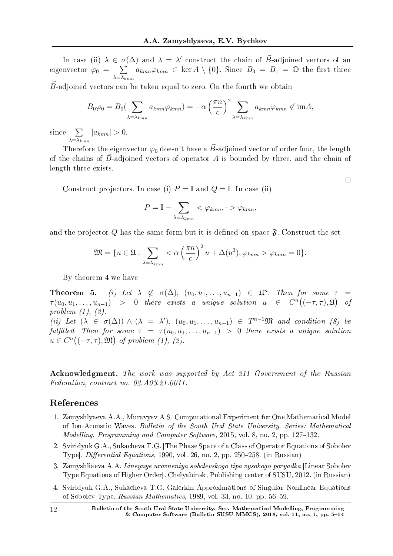In case (ii)  $\lambda \in \sigma(\Delta)$  and  $\lambda = \lambda'$  construct the chain of  $\vec{B}$ -adjoined vectors of an eigenvector  $\varphi_0 = \sum$ *λ*=*λkmn*  $a_{kmn}\varphi_{kmn} \in \text{ker } A \setminus \{0\}.$  Since  $B_3 = B_1 = \mathbb{O}$  the first three

*B*-adjoined vectors can be taken equal to zero. On the fourth we obtain

$$
B_0\varphi_0 = B_0 \left(\sum_{\lambda=\lambda_{kmn}} a_{kmn} \varphi_{kmn}\right) = -\alpha \left(\frac{\pi n}{c}\right)^2 \sum_{\lambda=\lambda_{kmn}} a_{kmn} \varphi_{kmn} \notin \text{im}A,
$$

since ∑ *λ*=*λkmn*  $|a_{kmn}| > 0.$ 

Therefore the eigenvector  $\varphi_0$  doesn't have a  $\vec{B}$ -adjoined vector of order four, the length of the chains of  $\vec{B}$ -adjoined vectors of operator A is bounded by three, and the chain of length three exists.

 $\Box$ 

Construct projectors. In case (i)  $P = \mathbb{I}$  and  $Q = \mathbb{I}$ . In case (ii)

$$
P = \mathbb{I} - \sum_{\lambda = \lambda_{kmn}} <\varphi_{kmn}, \quad \varphi_{kmn},
$$

and the projector  $Q$  has the same form but it is defined on space  $\mathfrak{F}$ . Construct the set

$$
\mathfrak{M} = \{ u \in \mathfrak{U} : \sum_{\lambda = \lambda_{kmn}} <\alpha \left( \frac{\pi n}{c} \right)^2 u + \Delta(u^3), \varphi_{kmn} > \varphi_{kmn} = 0 \}.
$$

By theorem 4 we have

Theorem 5. (i) Let  $\lambda \notin \sigma(\Delta)$ ,  $(u_0, u_1, \ldots, u_{n-1}) \in \mathfrak{L}^n$ . Then for some  $\tau =$  $\tau(u_0, u_1, \ldots, u_{n-1})$  > 0 there exists a unique solution  $u \in C^n((-\tau, \tau), \mathfrak{U})$  of problem (1), (2). (ii) Let  $(\lambda \in \sigma(\Delta)) \wedge (\lambda = \lambda')$ ,  $(u_0, u_1, \ldots, u_{n-1}) \in T^{n-1}\mathfrak{M}$  and condition (8) be fulfilled. Then for some  $\tau = \tau(u_0, u_1, \ldots, u_{n-1}) > 0$  there exists a unique solution  $u \in C^n((-\tau,\tau),\mathfrak{M})$  of problem (1), (2).

Acknowledgment. The work was supported by Act 211 Government of the Russian Federation, contract no. 02.A03.21.0011.

## References

- 1. Zamyshlyaeva A.A., Muravyev A.S. Computational Experiment for One Mathematical Model of Ion-Acoustic Waves. Bulletin of the South Ural State University. Series: Mathematical Modelling, Programming and Computer Software, 2015, vol. 8, no. 2, pp.  $127-132$ .
- 2. Sviridyuk G.A., Sukacheva T.G. [The Phase Space of a Class of Operator Equations of Sobolev Type]. Differential Equations, 1990, vol. 26, no. 2, pp. 250–258. (in Russian)
- 3. Zamyshliaeva A.A. Lineynye uravneniya sobolevskogo tipa vysokogo poryadka [Linear Sobolev Type Equations of Higher Order]. Chelyabinsk, Publishing center of SUSU, 2012. (in Russian)
- 4. Sviridyuk G.A., Sukacheva T.G. Galerkin Approximations of Singular Nonlinear Equations of Sobolev Type.  $Russian$  Mathematics, 1989, vol. 33, no. 10, pp. 56-59.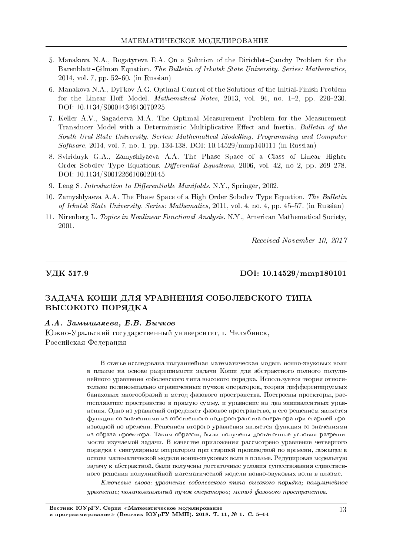- 5. Manakova N.A., Bogatyreva E.A. On a Solution of the Dirichlet–Cauchy Problem for the Barenblatt–Gilman Equation. The Bulletin of Irkutsk State University. Series: Mathematics, 2014, vol. 7, pp. 52–60. (in Russian)
- 6. Manakova N.A., Dyl'kov A.G. Optimal Control of the Solutions of the Initial-Finish Problem for the Linear Hoff Model. *Mathematical Notes*, 2013, vol. 94, no.  $1-2$ , pp. 220-230. DOI: 10.1134/S0001434613070225
- 7. Keller A.V., Sagadeeva M.A. The Optimal Measurement Problem for the Measurement Transducer Model with a Deterministic Multiplicative Effect and Inertia. Bulletin of the South Ural State University. Series: Mathematical Modelling, Programming and Computer Software, 2014, vol. 7, no. 1, pp. 134-138. DOI: 10.14529/mmp140111 (in Russian)
- 8. Sviriduyk G.A., Zamyshlyaeva A.A. The Phase Space of a Class of Linear Higher Order Sobolev Type Equations. Differential Equations, 2006, vol. 42, no 2, pp. 269-278. DOI: 10.1134/S0012266106020145
- 9. Leng S. Introduction to Differentiable Manifolds. N.Y., Springer, 2002.
- 10. Zamyshlyaeva A.A. The Phase Space of a High Order Sobolev Type Equation. The Bulletin of Irkutsk State University. Series: Mathematics, 2011, vol. 4, no. 4, pp. 45–57. (in Russian)
- 11. Nirenberg L. Topics in Nonlinear Functional Analysis. N.Y., American Mathematical Society, 2001.

Received November 10, 2017

VДК 517.9 DOI: 10.14529/mmp180101

# ЗАДАЧА КОШИ ДЛЯ УРАВНЕНИЯ СОБОЛЕВСКОГО ТИПА ВЫСОКОГО ПОРЯДКА

### $A.A.$  Замышляева, Е.В. Бычков

Южно-Уральский государственный университет, г. Челябинск, Российская Федерация

> В статье исследована полулинейная математическая модель ионно-звуковых волн в плазме на основе разрешимости задачи Коши для абстрактного полного полулинейного уравнения соболевского типа высокого порядка. Используется теория относительно полиномиально ограниченных пучков операторов, теория дифференцируемых банаховых многообразий и метод фазового пространства. Построены проекторы, расщепляющие пространство в прямую сумму, и уравнение на два эквивалентных уравнения. Одно из уравнений определяет фазовое пространство, и его решением является функция со значениями из собственного подпространства оператора при старшей производной по времени. Решением второго уравнения является функция со значениями из образа проектора. Таким образом, были получены достаточные условия разрешимости изучаемой задачи. В качестве приложения рассмотрено уравнение четвертого порядка с сингулярным оператором при старшей производной по времени, лежащее в основе математической модели ионно-звуковых волн в плазме. Редуцировав модельную задачу к абстрактной, были получены достаточные условия существования единственного решения полулинейной математической модели ионно-звуковых волн в плазме.

> $K$ лючевые слова: уравнение соболевского типа высокого порядка; полулинейное  $\nu$ равнение; полиномиальный пучок операторов; метод фазового пространства.